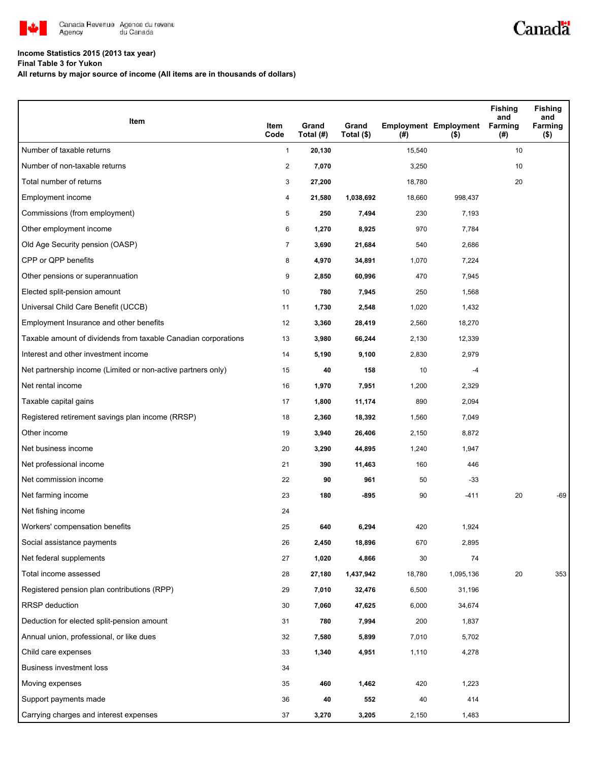

## **Income Statistics 2015 (2013 tax year)**

**Final Table 3 for Yukon**

**All returns by major source of income (All items are in thousands of dollars)**

| Item                                                           | Item<br>Code            | Grand<br>Total (#) | Grand<br>Total (\$) | $($ #) | <b>Employment Employment</b><br>$($ \$) | Fishing<br>and<br><b>Farming</b><br>(#) | <b>Fishing</b><br>and<br>Farming<br>$($ \$) |
|----------------------------------------------------------------|-------------------------|--------------------|---------------------|--------|-----------------------------------------|-----------------------------------------|---------------------------------------------|
| Number of taxable returns                                      | $\mathbf{1}$            | 20,130             |                     | 15,540 |                                         | 10                                      |                                             |
| Number of non-taxable returns                                  | $\overline{\mathbf{c}}$ | 7,070              |                     | 3,250  |                                         | 10                                      |                                             |
| Total number of returns                                        | 3                       | 27,200             |                     | 18,780 |                                         | 20                                      |                                             |
| Employment income                                              | 4                       | 21,580             | 1,038,692           | 18,660 | 998,437                                 |                                         |                                             |
| Commissions (from employment)                                  | 5                       | 250                | 7,494               | 230    | 7,193                                   |                                         |                                             |
| Other employment income                                        | 6                       | 1,270              | 8,925               | 970    | 7,784                                   |                                         |                                             |
| Old Age Security pension (OASP)                                | 7                       | 3,690              | 21,684              | 540    | 2,686                                   |                                         |                                             |
| CPP or QPP benefits                                            | 8                       | 4,970              | 34,891              | 1,070  | 7,224                                   |                                         |                                             |
| Other pensions or superannuation                               | 9                       | 2,850              | 60,996              | 470    | 7,945                                   |                                         |                                             |
| Elected split-pension amount                                   | 10                      | 780                | 7,945               | 250    | 1,568                                   |                                         |                                             |
| Universal Child Care Benefit (UCCB)                            | 11                      | 1,730              | 2,548               | 1,020  | 1,432                                   |                                         |                                             |
| Employment Insurance and other benefits                        | 12                      | 3,360              | 28,419              | 2,560  | 18,270                                  |                                         |                                             |
| Taxable amount of dividends from taxable Canadian corporations | 13                      | 3,980              | 66,244              | 2,130  | 12,339                                  |                                         |                                             |
| Interest and other investment income                           | 14                      | 5,190              | 9,100               | 2,830  | 2,979                                   |                                         |                                             |
| Net partnership income (Limited or non-active partners only)   | 15                      | 40                 | 158                 | 10     | $-4$                                    |                                         |                                             |
| Net rental income                                              | 16                      | 1,970              | 7,951               | 1,200  | 2,329                                   |                                         |                                             |
| Taxable capital gains                                          | 17                      | 1,800              | 11,174              | 890    | 2,094                                   |                                         |                                             |
| Registered retirement savings plan income (RRSP)               | 18                      | 2,360              | 18,392              | 1,560  | 7,049                                   |                                         |                                             |
| Other income                                                   | 19                      | 3,940              | 26,406              | 2,150  | 8,872                                   |                                         |                                             |
| Net business income                                            | 20                      | 3,290              | 44,895              | 1,240  | 1,947                                   |                                         |                                             |
| Net professional income                                        | 21                      | 390                | 11,463              | 160    | 446                                     |                                         |                                             |
| Net commission income                                          | 22                      | 90                 | 961                 | 50     | $-33$                                   |                                         |                                             |
| Net farming income                                             | 23                      | 180                | -895                | 90     | $-411$                                  | 20                                      | -69                                         |
| Net fishing income                                             | 24                      |                    |                     |        |                                         |                                         |                                             |
| Workers' compensation benefits                                 | 25                      | 640                | 6,294               | 420    | 1,924                                   |                                         |                                             |
| Social assistance payments                                     | 26                      | 2,450              | 18,896              | 670    | 2,895                                   |                                         |                                             |
| Net federal supplements                                        | 27                      | 1,020              | 4,866               | 30     | 74                                      |                                         |                                             |
| Total income assessed                                          | 28                      | 27,180             | 1,437,942           | 18,780 | 1,095,136                               | 20                                      | 353                                         |
| Registered pension plan contributions (RPP)                    | 29                      | 7,010              | 32,476              | 6,500  | 31,196                                  |                                         |                                             |
| <b>RRSP</b> deduction                                          | 30                      | 7,060              | 47,625              | 6,000  | 34,674                                  |                                         |                                             |
| Deduction for elected split-pension amount                     | 31                      | 780                | 7,994               | 200    | 1,837                                   |                                         |                                             |
| Annual union, professional, or like dues                       | 32                      | 7,580              | 5,899               | 7,010  | 5,702                                   |                                         |                                             |
| Child care expenses                                            | 33                      | 1,340              | 4,951               | 1,110  | 4,278                                   |                                         |                                             |
| Business investment loss                                       | 34                      |                    |                     |        |                                         |                                         |                                             |
| Moving expenses                                                | 35                      | 460                | 1,462               | 420    | 1,223                                   |                                         |                                             |
| Support payments made                                          | 36                      | 40                 | 552                 | 40     | 414                                     |                                         |                                             |
| Carrying charges and interest expenses                         | 37                      | 3,270              | 3,205               | 2,150  | 1,483                                   |                                         |                                             |

Canadä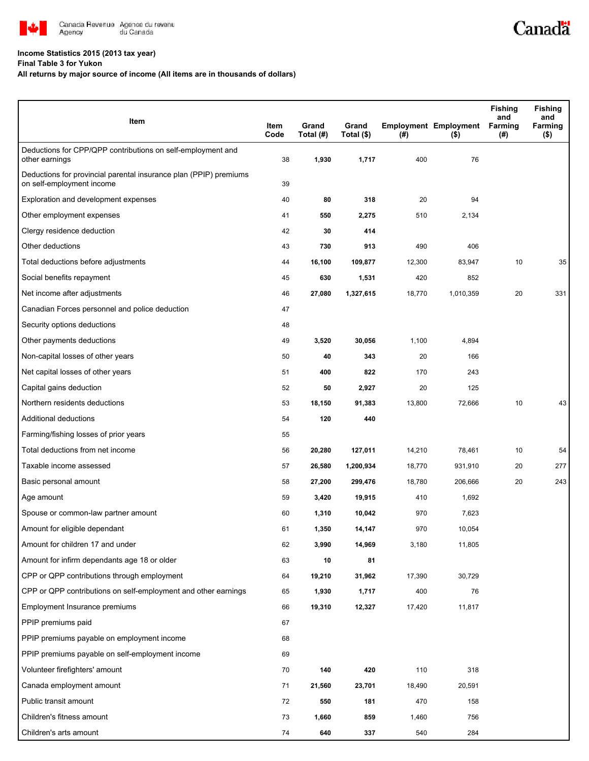

## **Income Statistics 2015 (2013 tax year)**

**Final Table 3 for Yukon**

## **All returns by major source of income (All items are in thousands of dollars)**

| Item                                                                                           | Item<br>Code | Grand<br>Total (#) | Grand<br>Total (\$) | (#)    | <b>Employment Employment</b><br>$($ \$) | <b>Fishing</b><br>and<br><b>Farming</b><br>(#) | <b>Fishing</b><br>and<br>Farming<br>(\$) |
|------------------------------------------------------------------------------------------------|--------------|--------------------|---------------------|--------|-----------------------------------------|------------------------------------------------|------------------------------------------|
| Deductions for CPP/QPP contributions on self-employment and<br>other earnings                  | 38           | 1,930              | 1,717               | 400    | 76                                      |                                                |                                          |
| Deductions for provincial parental insurance plan (PPIP) premiums<br>on self-employment income | 39           |                    |                     |        |                                         |                                                |                                          |
| Exploration and development expenses                                                           | 40           | 80                 | 318                 | 20     | 94                                      |                                                |                                          |
| Other employment expenses                                                                      | 41           | 550                | 2,275               | 510    | 2,134                                   |                                                |                                          |
| Clergy residence deduction                                                                     | 42           | 30                 | 414                 |        |                                         |                                                |                                          |
| Other deductions                                                                               | 43           | 730                | 913                 | 490    | 406                                     |                                                |                                          |
| Total deductions before adjustments                                                            | 44           | 16,100             | 109,877             | 12,300 | 83,947                                  | 10                                             | 35                                       |
| Social benefits repayment                                                                      | 45           | 630                | 1,531               | 420    | 852                                     |                                                |                                          |
| Net income after adjustments                                                                   | 46           | 27,080             | 1,327,615           | 18,770 | 1,010,359                               | 20                                             | 331                                      |
| Canadian Forces personnel and police deduction                                                 | 47           |                    |                     |        |                                         |                                                |                                          |
| Security options deductions                                                                    | 48           |                    |                     |        |                                         |                                                |                                          |
| Other payments deductions                                                                      | 49           | 3,520              | 30,056              | 1,100  | 4,894                                   |                                                |                                          |
| Non-capital losses of other years                                                              | 50           | 40                 | 343                 | 20     | 166                                     |                                                |                                          |
| Net capital losses of other years                                                              | 51           | 400                | 822                 | 170    | 243                                     |                                                |                                          |
| Capital gains deduction                                                                        | 52           | 50                 | 2,927               | 20     | 125                                     |                                                |                                          |
| Northern residents deductions                                                                  | 53           | 18,150             | 91,383              | 13,800 | 72,666                                  | 10                                             | 43                                       |
| Additional deductions                                                                          | 54           | 120                | 440                 |        |                                         |                                                |                                          |
| Farming/fishing losses of prior years                                                          | 55           |                    |                     |        |                                         |                                                |                                          |
| Total deductions from net income                                                               | 56           | 20,280             | 127,011             | 14,210 | 78,461                                  | 10                                             | 54                                       |
| Taxable income assessed                                                                        | 57           | 26,580             | 1,200,934           | 18,770 | 931,910                                 | 20                                             | 277                                      |
| Basic personal amount                                                                          | 58           | 27,200             | 299,476             | 18,780 | 206,666                                 | 20                                             | 243                                      |
| Age amount                                                                                     | 59           | 3,420              | 19,915              | 410    | 1,692                                   |                                                |                                          |
| Spouse or common-law partner amount                                                            | 60           | 1,310              | 10,042              | 970    | 7,623                                   |                                                |                                          |
| Amount for eligible dependant                                                                  | 61           | 1,350              | 14,147              | 970    | 10,054                                  |                                                |                                          |
| Amount for children 17 and under                                                               | 62           | 3,990              | 14,969              | 3,180  | 11,805                                  |                                                |                                          |
| Amount for infirm dependants age 18 or older                                                   | 63           | 10                 | 81                  |        |                                         |                                                |                                          |
| CPP or QPP contributions through employment                                                    | 64           | 19,210             | 31,962              | 17,390 | 30,729                                  |                                                |                                          |
| CPP or QPP contributions on self-employment and other earnings                                 | 65           | 1,930              | 1,717               | 400    | 76                                      |                                                |                                          |
| Employment Insurance premiums                                                                  | 66           | 19,310             | 12,327              | 17,420 | 11,817                                  |                                                |                                          |
| PPIP premiums paid                                                                             | 67           |                    |                     |        |                                         |                                                |                                          |
| PPIP premiums payable on employment income                                                     | 68           |                    |                     |        |                                         |                                                |                                          |
| PPIP premiums payable on self-employment income                                                | 69           |                    |                     |        |                                         |                                                |                                          |
| Volunteer firefighters' amount                                                                 | 70           | 140                | 420                 | 110    | 318                                     |                                                |                                          |
| Canada employment amount                                                                       | 71           | 21,560             | 23,701              | 18,490 | 20,591                                  |                                                |                                          |
| Public transit amount                                                                          | 72           | 550                | 181                 | 470    | 158                                     |                                                |                                          |
| Children's fitness amount                                                                      | 73           | 1,660              | 859                 | 1,460  | 756                                     |                                                |                                          |
| Children's arts amount                                                                         | 74           | 640                | 337                 | 540    | 284                                     |                                                |                                          |

Canadä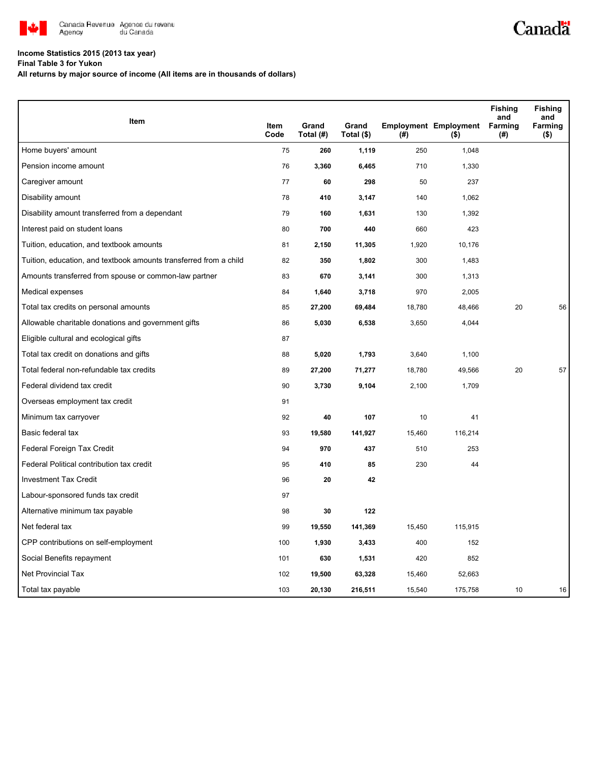

## **Income Statistics 2015 (2013 tax year)**

**Final Table 3 for Yukon**

**All returns by major source of income (All items are in thousands of dollars)**

|                                                                   |                     |                    |                     |        |                                         | <b>Fishing</b><br>and | <b>Fishing</b><br>and |
|-------------------------------------------------------------------|---------------------|--------------------|---------------------|--------|-----------------------------------------|-----------------------|-----------------------|
| Item                                                              | <b>Item</b><br>Code | Grand<br>Total (#) | Grand<br>Total (\$) | $($ #) | <b>Employment Employment</b><br>$($ \$) | Farming<br>(#)        | Farming<br>( \$)      |
| Home buyers' amount                                               | 75                  | 260                | 1,119               | 250    | 1,048                                   |                       |                       |
| Pension income amount                                             | 76                  | 3,360              | 6,465               | 710    | 1,330                                   |                       |                       |
| Caregiver amount                                                  | 77                  | 60                 | 298                 | 50     | 237                                     |                       |                       |
| Disability amount                                                 | 78                  | 410                | 3,147               | 140    | 1,062                                   |                       |                       |
| Disability amount transferred from a dependant                    | 79                  | 160                | 1,631               | 130    | 1,392                                   |                       |                       |
| Interest paid on student loans                                    | 80                  | 700                | 440                 | 660    | 423                                     |                       |                       |
| Tuition, education, and textbook amounts                          | 81                  | 2,150              | 11,305              | 1,920  | 10,176                                  |                       |                       |
| Tuition, education, and textbook amounts transferred from a child | 82                  | 350                | 1,802               | 300    | 1,483                                   |                       |                       |
| Amounts transferred from spouse or common-law partner             | 83                  | 670                | 3,141               | 300    | 1,313                                   |                       |                       |
| Medical expenses                                                  | 84                  | 1,640              | 3,718               | 970    | 2,005                                   |                       |                       |
| Total tax credits on personal amounts                             | 85                  | 27,200             | 69,484              | 18,780 | 48,466                                  | 20                    | 56                    |
| Allowable charitable donations and government gifts               | 86                  | 5,030              | 6,538               | 3,650  | 4,044                                   |                       |                       |
| Eligible cultural and ecological gifts                            | 87                  |                    |                     |        |                                         |                       |                       |
| Total tax credit on donations and gifts                           | 88                  | 5,020              | 1,793               | 3,640  | 1,100                                   |                       |                       |
| Total federal non-refundable tax credits                          | 89                  | 27,200             | 71,277              | 18,780 | 49,566                                  | 20                    | 57                    |
| Federal dividend tax credit                                       | 90                  | 3,730              | 9,104               | 2,100  | 1,709                                   |                       |                       |
| Overseas employment tax credit                                    | 91                  |                    |                     |        |                                         |                       |                       |
| Minimum tax carryover                                             | 92                  | 40                 | 107                 | 10     | 41                                      |                       |                       |
| Basic federal tax                                                 | 93                  | 19,580             | 141,927             | 15,460 | 116,214                                 |                       |                       |
| Federal Foreign Tax Credit                                        | 94                  | 970                | 437                 | 510    | 253                                     |                       |                       |
| Federal Political contribution tax credit                         | 95                  | 410                | 85                  | 230    | 44                                      |                       |                       |
| <b>Investment Tax Credit</b>                                      | 96                  | 20                 | 42                  |        |                                         |                       |                       |
| Labour-sponsored funds tax credit                                 | 97                  |                    |                     |        |                                         |                       |                       |
| Alternative minimum tax payable                                   | 98                  | 30                 | 122                 |        |                                         |                       |                       |
| Net federal tax                                                   | 99                  | 19,550             | 141,369             | 15,450 | 115,915                                 |                       |                       |
| CPP contributions on self-employment                              | 100                 | 1,930              | 3,433               | 400    | 152                                     |                       |                       |
| Social Benefits repayment                                         | 101                 | 630                | 1,531               | 420    | 852                                     |                       |                       |
| Net Provincial Tax                                                | 102                 | 19,500             | 63,328              | 15,460 | 52,663                                  |                       |                       |
| Total tax payable                                                 | 103                 | 20,130             | 216,511             | 15,540 | 175,758                                 | 10                    | 16                    |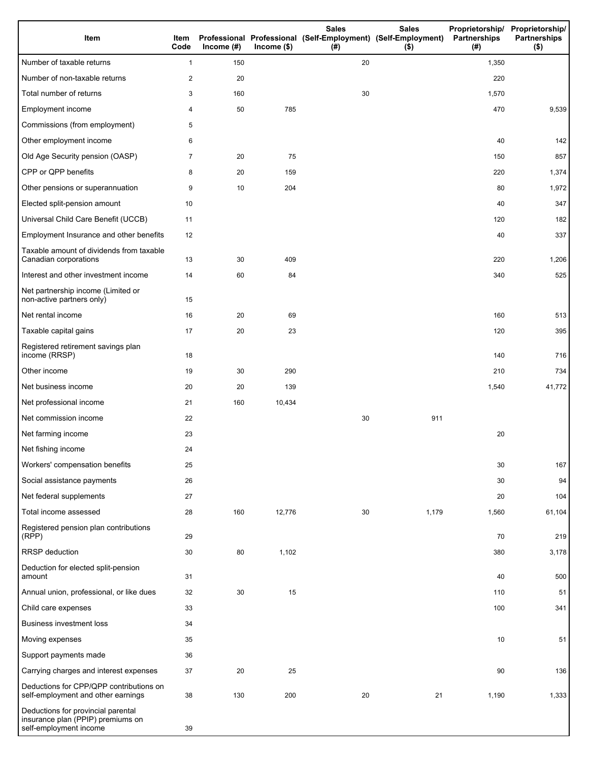| Item                                                                                              | Item<br>Code | Income $(\#)$ | $Income$ (\$) | <b>Sales</b><br>Professional Professional (Self-Employment) (Self-Employment)<br>(# ) | <b>Sales</b><br>$($ \$) | Proprietorship/ Proprietorship/<br>Partnerships<br>(#) | <b>Partnerships</b><br>$($ \$) |
|---------------------------------------------------------------------------------------------------|--------------|---------------|---------------|---------------------------------------------------------------------------------------|-------------------------|--------------------------------------------------------|--------------------------------|
| Number of taxable returns                                                                         | 1            | 150           |               | 20                                                                                    |                         | 1,350                                                  |                                |
| Number of non-taxable returns                                                                     | 2            | 20            |               |                                                                                       |                         | 220                                                    |                                |
| Total number of returns                                                                           | 3            | 160           |               | 30                                                                                    |                         | 1,570                                                  |                                |
| Employment income                                                                                 | 4            | 50            | 785           |                                                                                       |                         | 470                                                    | 9,539                          |
| Commissions (from employment)                                                                     | 5            |               |               |                                                                                       |                         |                                                        |                                |
| Other employment income                                                                           | 6            |               |               |                                                                                       |                         | 40                                                     | 142                            |
| Old Age Security pension (OASP)                                                                   | 7            | 20            | 75            |                                                                                       |                         | 150                                                    | 857                            |
| CPP or QPP benefits                                                                               | 8            | 20            | 159           |                                                                                       |                         | 220                                                    | 1,374                          |
| Other pensions or superannuation                                                                  | 9            | 10            | 204           |                                                                                       |                         | 80                                                     | 1,972                          |
| Elected split-pension amount                                                                      | 10           |               |               |                                                                                       |                         | 40                                                     | 347                            |
| Universal Child Care Benefit (UCCB)                                                               | 11           |               |               |                                                                                       |                         | 120                                                    | 182                            |
| Employment Insurance and other benefits                                                           | 12           |               |               |                                                                                       |                         | 40                                                     | 337                            |
| Taxable amount of dividends from taxable<br>Canadian corporations                                 | 13           | 30            | 409           |                                                                                       |                         | 220                                                    | 1,206                          |
| Interest and other investment income                                                              | 14           | 60            | 84            |                                                                                       |                         | 340                                                    | 525                            |
| Net partnership income (Limited or<br>non-active partners only)                                   | 15           |               |               |                                                                                       |                         |                                                        |                                |
| Net rental income                                                                                 | 16           | 20            | 69            |                                                                                       |                         | 160                                                    | 513                            |
| Taxable capital gains                                                                             | 17           | 20            | 23            |                                                                                       |                         | 120                                                    | 395                            |
| Registered retirement savings plan<br>income (RRSP)                                               | 18           |               |               |                                                                                       |                         | 140                                                    | 716                            |
| Other income                                                                                      | 19           | 30            | 290           |                                                                                       |                         | 210                                                    | 734                            |
| Net business income                                                                               | 20           | 20            | 139           |                                                                                       |                         | 1,540                                                  | 41,772                         |
| Net professional income                                                                           | 21           | 160           | 10,434        |                                                                                       |                         |                                                        |                                |
| Net commission income                                                                             | 22           |               |               | 30                                                                                    | 911                     |                                                        |                                |
| Net farming income                                                                                | 23           |               |               |                                                                                       |                         | 20                                                     |                                |
| Net fishing income                                                                                | 24           |               |               |                                                                                       |                         |                                                        |                                |
| Workers' compensation benefits                                                                    | 25           |               |               |                                                                                       |                         | 30                                                     | 167                            |
| Social assistance payments                                                                        | 26           |               |               |                                                                                       |                         | 30                                                     | 94                             |
| Net federal supplements                                                                           | 27           |               |               |                                                                                       |                         | 20                                                     | 104                            |
| Total income assessed                                                                             | 28           | 160           | 12,776        | 30                                                                                    | 1,179                   | 1,560                                                  | 61,104                         |
| Registered pension plan contributions<br>(RPP)                                                    | 29           |               |               |                                                                                       |                         | 70                                                     | 219                            |
| RRSP deduction                                                                                    | 30           | 80            | 1,102         |                                                                                       |                         | 380                                                    | 3,178                          |
| Deduction for elected split-pension<br>amount                                                     | 31           |               |               |                                                                                       |                         | 40                                                     | 500                            |
| Annual union, professional, or like dues                                                          | 32           | 30            | 15            |                                                                                       |                         | 110                                                    | 51                             |
| Child care expenses                                                                               | 33           |               |               |                                                                                       |                         | 100                                                    | 341                            |
| Business investment loss                                                                          | 34           |               |               |                                                                                       |                         |                                                        |                                |
| Moving expenses                                                                                   | 35           |               |               |                                                                                       |                         | 10                                                     | 51                             |
| Support payments made                                                                             | 36           |               |               |                                                                                       |                         |                                                        |                                |
| Carrying charges and interest expenses                                                            | 37           | 20            | 25            |                                                                                       |                         | 90                                                     | 136                            |
| Deductions for CPP/QPP contributions on<br>self-employment and other earnings                     | 38           | 130           | 200           | 20                                                                                    | 21                      | 1,190                                                  | 1,333                          |
| Deductions for provincial parental<br>insurance plan (PPIP) premiums on<br>self-employment income | 39           |               |               |                                                                                       |                         |                                                        |                                |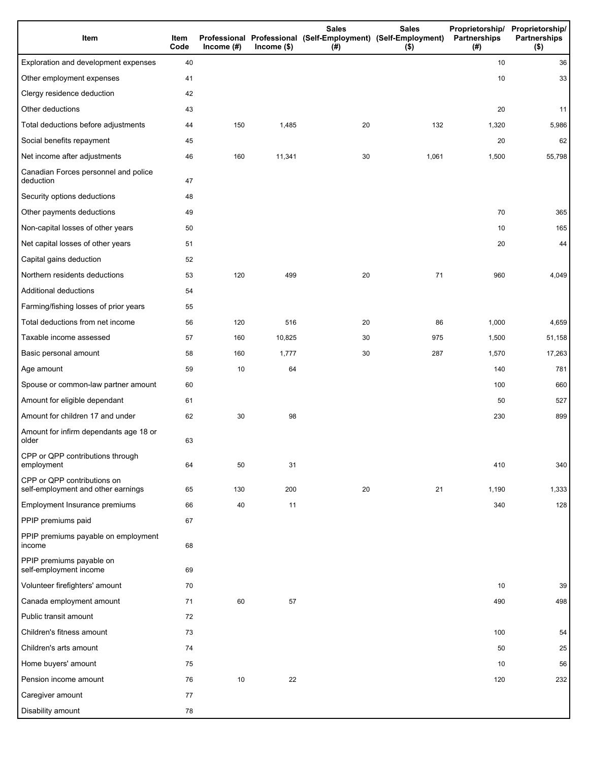| Item                                                              | Item<br>Code | Income $(\#)$ | $Income$ (\$) | <b>Sales</b><br>Professional Professional (Self-Employment) (Self-Employment)<br>(# ) | <b>Sales</b><br>$($ \$) | Partnerships<br>(#) | Proprietorship/ Proprietorship/<br><b>Partnerships</b><br>$($ \$) |
|-------------------------------------------------------------------|--------------|---------------|---------------|---------------------------------------------------------------------------------------|-------------------------|---------------------|-------------------------------------------------------------------|
| Exploration and development expenses                              | 40           |               |               |                                                                                       |                         | 10                  | 36                                                                |
| Other employment expenses                                         | 41           |               |               |                                                                                       |                         | 10                  | 33                                                                |
| Clergy residence deduction                                        | 42           |               |               |                                                                                       |                         |                     |                                                                   |
| Other deductions                                                  | 43           |               |               |                                                                                       |                         | 20                  | 11                                                                |
| Total deductions before adjustments                               | 44           | 150           | 1,485         | 20                                                                                    | 132                     | 1,320               | 5,986                                                             |
| Social benefits repayment                                         | 45           |               |               |                                                                                       |                         | 20                  | 62                                                                |
| Net income after adjustments                                      | 46           | 160           | 11,341        | 30                                                                                    | 1,061                   | 1,500               | 55,798                                                            |
| Canadian Forces personnel and police<br>deduction                 | 47           |               |               |                                                                                       |                         |                     |                                                                   |
| Security options deductions                                       | 48           |               |               |                                                                                       |                         |                     |                                                                   |
| Other payments deductions                                         | 49           |               |               |                                                                                       |                         | 70                  | 365                                                               |
| Non-capital losses of other years                                 | 50           |               |               |                                                                                       |                         | 10                  | 165                                                               |
| Net capital losses of other years                                 | 51           |               |               |                                                                                       |                         | 20                  | 44                                                                |
| Capital gains deduction                                           | 52           |               |               |                                                                                       |                         |                     |                                                                   |
| Northern residents deductions                                     | 53           | 120           | 499           | 20                                                                                    | 71                      | 960                 | 4,049                                                             |
| Additional deductions                                             | 54           |               |               |                                                                                       |                         |                     |                                                                   |
| Farming/fishing losses of prior years                             | 55           |               |               |                                                                                       |                         |                     |                                                                   |
| Total deductions from net income                                  | 56           | 120           | 516           | 20                                                                                    | 86                      | 1,000               | 4,659                                                             |
| Taxable income assessed                                           | 57           | 160           | 10,825        | 30                                                                                    | 975                     | 1,500               | 51,158                                                            |
| Basic personal amount                                             | 58           | 160           | 1,777         | 30                                                                                    | 287                     | 1,570               | 17,263                                                            |
| Age amount                                                        | 59           | 10            | 64            |                                                                                       |                         | 140                 | 781                                                               |
| Spouse or common-law partner amount                               | 60           |               |               |                                                                                       |                         | 100                 | 660                                                               |
| Amount for eligible dependant                                     | 61           |               |               |                                                                                       |                         | 50                  | 527                                                               |
| Amount for children 17 and under                                  | 62           | 30            | 98            |                                                                                       |                         | 230                 | 899                                                               |
| Amount for infirm dependants age 18 or<br>older                   | 63           |               |               |                                                                                       |                         |                     |                                                                   |
| CPP or QPP contributions through<br>employment                    | 64           | 50            | 31            |                                                                                       |                         | 410                 | 340                                                               |
| CPP or QPP contributions on<br>self-employment and other earnings | 65           | 130           | 200           | 20                                                                                    | 21                      | 1,190               | 1,333                                                             |
| Employment Insurance premiums                                     | 66           | 40            | 11            |                                                                                       |                         | 340                 | 128                                                               |
| PPIP premiums paid                                                | 67           |               |               |                                                                                       |                         |                     |                                                                   |
| PPIP premiums payable on employment<br>income                     | 68           |               |               |                                                                                       |                         |                     |                                                                   |
| PPIP premiums payable on<br>self-employment income                | 69           |               |               |                                                                                       |                         |                     |                                                                   |
| Volunteer firefighters' amount                                    | 70           |               |               |                                                                                       |                         | 10                  | 39                                                                |
| Canada employment amount                                          | 71           | 60            | 57            |                                                                                       |                         | 490                 | 498                                                               |
| Public transit amount                                             | 72           |               |               |                                                                                       |                         |                     |                                                                   |
| Children's fitness amount                                         | 73           |               |               |                                                                                       |                         | 100                 | 54                                                                |
| Children's arts amount                                            | 74           |               |               |                                                                                       |                         | 50                  | 25                                                                |
| Home buyers' amount                                               | 75           |               |               |                                                                                       |                         | 10                  | 56                                                                |
| Pension income amount                                             | 76           | $10$          | 22            |                                                                                       |                         | 120                 | 232                                                               |
| Caregiver amount                                                  | 77           |               |               |                                                                                       |                         |                     |                                                                   |
| Disability amount                                                 | 78           |               |               |                                                                                       |                         |                     |                                                                   |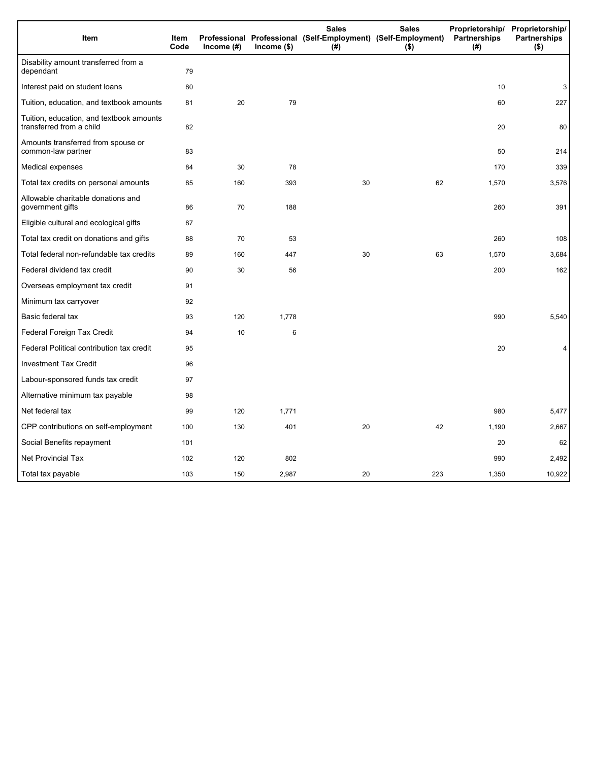| Item                                                                 | Item<br>Code | Income (#) | $lncome$ (\$) | <b>Sales</b><br>Professional Professional (Self-Employment) (Self-Employment)<br>(#) | <b>Sales</b><br>$($ \$) | Partnerships<br>(#) | Proprietorship/ Proprietorship/<br><b>Partnerships</b><br>$($ \$) |
|----------------------------------------------------------------------|--------------|------------|---------------|--------------------------------------------------------------------------------------|-------------------------|---------------------|-------------------------------------------------------------------|
| Disability amount transferred from a<br>dependant                    | 79           |            |               |                                                                                      |                         |                     |                                                                   |
| Interest paid on student loans                                       | 80           |            |               |                                                                                      |                         | 10                  | 3                                                                 |
| Tuition, education, and textbook amounts                             | 81           | 20         | 79            |                                                                                      |                         | 60                  | 227                                                               |
| Tuition, education, and textbook amounts<br>transferred from a child | 82           |            |               |                                                                                      |                         | 20                  | 80                                                                |
| Amounts transferred from spouse or<br>common-law partner             | 83           |            |               |                                                                                      |                         | 50                  | 214                                                               |
| Medical expenses                                                     | 84           | 30         | 78            |                                                                                      |                         | 170                 | 339                                                               |
| Total tax credits on personal amounts                                | 85           | 160        | 393           | 30                                                                                   | 62                      | 1,570               | 3,576                                                             |
| Allowable charitable donations and<br>government gifts               | 86           | 70         | 188           |                                                                                      |                         | 260                 | 391                                                               |
| Eligible cultural and ecological gifts                               | 87           |            |               |                                                                                      |                         |                     |                                                                   |
| Total tax credit on donations and gifts                              | 88           | 70         | 53            |                                                                                      |                         | 260                 | 108                                                               |
| Total federal non-refundable tax credits                             | 89           | 160        | 447           | 30                                                                                   | 63                      | 1,570               | 3,684                                                             |
| Federal dividend tax credit                                          | 90           | 30         | 56            |                                                                                      |                         | 200                 | 162                                                               |
| Overseas employment tax credit                                       | 91           |            |               |                                                                                      |                         |                     |                                                                   |
| Minimum tax carryover                                                | 92           |            |               |                                                                                      |                         |                     |                                                                   |
| Basic federal tax                                                    | 93           | 120        | 1,778         |                                                                                      |                         | 990                 | 5,540                                                             |
| Federal Foreign Tax Credit                                           | 94           | 10         | 6             |                                                                                      |                         |                     |                                                                   |
| Federal Political contribution tax credit                            | 95           |            |               |                                                                                      |                         | 20                  | 4                                                                 |
| <b>Investment Tax Credit</b>                                         | 96           |            |               |                                                                                      |                         |                     |                                                                   |
| Labour-sponsored funds tax credit                                    | 97           |            |               |                                                                                      |                         |                     |                                                                   |
| Alternative minimum tax payable                                      | 98           |            |               |                                                                                      |                         |                     |                                                                   |
| Net federal tax                                                      | 99           | 120        | 1,771         |                                                                                      |                         | 980                 | 5,477                                                             |
| CPP contributions on self-employment                                 | 100          | 130        | 401           | 20                                                                                   | 42                      | 1,190               | 2,667                                                             |
| Social Benefits repayment                                            | 101          |            |               |                                                                                      |                         | 20                  | 62                                                                |
| <b>Net Provincial Tax</b>                                            | 102          | 120        | 802           |                                                                                      |                         | 990                 | 2,492                                                             |
| Total tax payable                                                    | 103          | 150        | 2,987         | 20                                                                                   | 223                     | 1,350               | 10,922                                                            |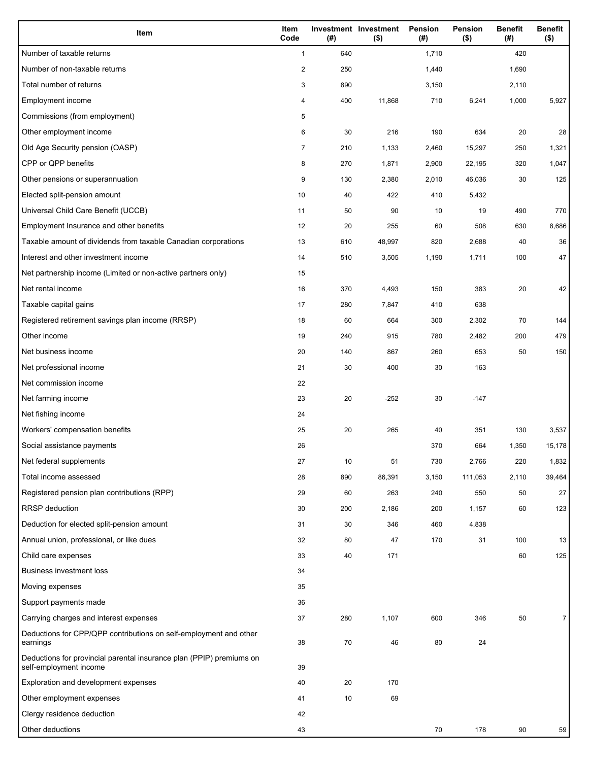| Item                                                                                           | Item<br>Code            | (#) | Investment Investment<br>$($ \$) | Pension<br>$($ #) | <b>Pension</b><br>$($ \$) | <b>Benefit</b><br>(#) | <b>Benefit</b><br>$($ \$) |
|------------------------------------------------------------------------------------------------|-------------------------|-----|----------------------------------|-------------------|---------------------------|-----------------------|---------------------------|
| Number of taxable returns                                                                      | $\mathbf{1}$            | 640 |                                  | 1,710             |                           | 420                   |                           |
| Number of non-taxable returns                                                                  | $\overline{\mathbf{c}}$ | 250 |                                  | 1,440             |                           | 1,690                 |                           |
| Total number of returns                                                                        | 3                       | 890 |                                  | 3,150             |                           | 2,110                 |                           |
| Employment income                                                                              | 4                       | 400 | 11,868                           | 710               | 6,241                     | 1,000                 | 5,927                     |
| Commissions (from employment)                                                                  | 5                       |     |                                  |                   |                           |                       |                           |
| Other employment income                                                                        | 6                       | 30  | 216                              | 190               | 634                       | 20                    | 28                        |
| Old Age Security pension (OASP)                                                                | 7                       | 210 | 1,133                            | 2,460             | 15,297                    | 250                   | 1,321                     |
| CPP or QPP benefits                                                                            | 8                       | 270 | 1,871                            | 2,900             | 22,195                    | 320                   | 1,047                     |
| Other pensions or superannuation                                                               | 9                       | 130 | 2,380                            | 2,010             | 46,036                    | 30                    | 125                       |
| Elected split-pension amount                                                                   | 10                      | 40  | 422                              | 410               | 5,432                     |                       |                           |
| Universal Child Care Benefit (UCCB)                                                            | 11                      | 50  | 90                               | 10                | 19                        | 490                   | 770                       |
| Employment Insurance and other benefits                                                        | 12                      | 20  | 255                              | 60                | 508                       | 630                   | 8,686                     |
| Taxable amount of dividends from taxable Canadian corporations                                 | 13                      | 610 | 48,997                           | 820               | 2,688                     | 40                    | 36                        |
| Interest and other investment income                                                           | 14                      | 510 | 3,505                            | 1,190             | 1,711                     | 100                   | 47                        |
| Net partnership income (Limited or non-active partners only)                                   | 15                      |     |                                  |                   |                           |                       |                           |
| Net rental income                                                                              | 16                      | 370 | 4,493                            | 150               | 383                       | 20                    | 42                        |
| Taxable capital gains                                                                          | 17                      | 280 | 7,847                            | 410               | 638                       |                       |                           |
| Registered retirement savings plan income (RRSP)                                               | 18                      | 60  | 664                              | 300               | 2,302                     | 70                    | 144                       |
| Other income                                                                                   | 19                      | 240 | 915                              | 780               | 2,482                     | 200                   | 479                       |
| Net business income                                                                            | 20                      | 140 | 867                              | 260               | 653                       | 50                    | 150                       |
| Net professional income                                                                        | 21                      | 30  | 400                              | 30                | 163                       |                       |                           |
| Net commission income                                                                          | 22                      |     |                                  |                   |                           |                       |                           |
| Net farming income                                                                             | 23                      | 20  | $-252$                           | 30                | $-147$                    |                       |                           |
| Net fishing income                                                                             | 24                      |     |                                  |                   |                           |                       |                           |
| Workers' compensation benefits                                                                 | 25                      | 20  | 265                              | 40                | 351                       | 130                   | 3,537                     |
| Social assistance payments                                                                     | 26                      |     |                                  | 370               | 664                       | 1,350                 | 15,178                    |
| Net federal supplements                                                                        | 27                      | 10  | 51                               | 730               | 2,766                     | 220                   | 1,832                     |
| Total income assessed                                                                          | 28                      | 890 | 86,391                           | 3,150             | 111,053                   | 2,110                 | 39,464                    |
| Registered pension plan contributions (RPP)                                                    | 29                      | 60  | 263                              | 240               | 550                       | 50                    | 27                        |
| <b>RRSP</b> deduction                                                                          | 30                      | 200 | 2,186                            | 200               | 1,157                     | 60                    | 123                       |
| Deduction for elected split-pension amount                                                     | 31                      | 30  | 346                              | 460               | 4,838                     |                       |                           |
| Annual union, professional, or like dues                                                       | 32                      | 80  | 47                               | 170               | 31                        | 100                   | 13                        |
| Child care expenses                                                                            | 33                      | 40  | 171                              |                   |                           | 60                    | 125                       |
| Business investment loss                                                                       | 34                      |     |                                  |                   |                           |                       |                           |
| Moving expenses                                                                                | 35                      |     |                                  |                   |                           |                       |                           |
| Support payments made                                                                          | 36                      |     |                                  |                   |                           |                       |                           |
| Carrying charges and interest expenses                                                         | 37                      | 280 | 1,107                            | 600               | 346                       | 50                    | 7                         |
| Deductions for CPP/QPP contributions on self-employment and other                              |                         |     |                                  |                   |                           |                       |                           |
| earnings                                                                                       | 38                      | 70  | 46                               | 80                | 24                        |                       |                           |
| Deductions for provincial parental insurance plan (PPIP) premiums on<br>self-employment income | 39                      |     |                                  |                   |                           |                       |                           |
| Exploration and development expenses                                                           | 40                      | 20  | 170                              |                   |                           |                       |                           |
| Other employment expenses                                                                      | 41                      | 10  | 69                               |                   |                           |                       |                           |
| Clergy residence deduction                                                                     | 42                      |     |                                  |                   |                           |                       |                           |
| Other deductions                                                                               | 43                      |     |                                  | 70                | 178                       | 90                    | 59                        |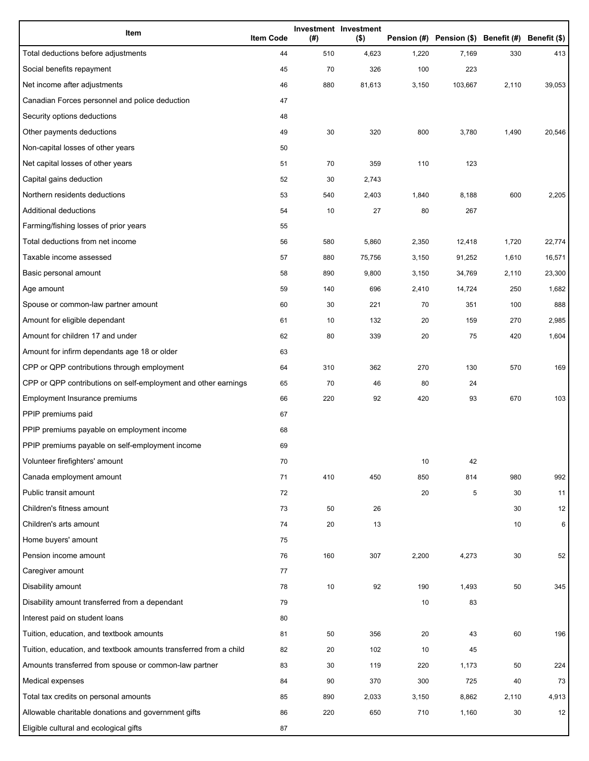| Item                                                              | <b>Item Code</b> | (#) | Investment Investment<br>$($ \$) |       | Pension (#) Pension (\$) Benefit (#) Benefit (\$) |       |        |
|-------------------------------------------------------------------|------------------|-----|----------------------------------|-------|---------------------------------------------------|-------|--------|
| Total deductions before adjustments                               | 44               | 510 | 4,623                            | 1,220 | 7,169                                             | 330   | 413    |
| Social benefits repayment                                         | 45               | 70  | 326                              | 100   | 223                                               |       |        |
| Net income after adjustments                                      | 46               | 880 | 81,613                           | 3,150 | 103,667                                           | 2,110 | 39,053 |
| Canadian Forces personnel and police deduction                    | 47               |     |                                  |       |                                                   |       |        |
| Security options deductions                                       | 48               |     |                                  |       |                                                   |       |        |
| Other payments deductions                                         | 49               | 30  | 320                              | 800   | 3,780                                             | 1,490 | 20,546 |
| Non-capital losses of other years                                 | 50               |     |                                  |       |                                                   |       |        |
| Net capital losses of other years                                 | 51               | 70  | 359                              | 110   | 123                                               |       |        |
| Capital gains deduction                                           | 52               | 30  | 2,743                            |       |                                                   |       |        |
| Northern residents deductions                                     | 53               | 540 | 2,403                            | 1,840 | 8,188                                             | 600   | 2,205  |
| Additional deductions                                             | 54               | 10  | 27                               | 80    | 267                                               |       |        |
| Farming/fishing losses of prior years                             | 55               |     |                                  |       |                                                   |       |        |
| Total deductions from net income                                  | 56               | 580 | 5,860                            | 2,350 | 12,418                                            | 1,720 | 22,774 |
| Taxable income assessed                                           | 57               | 880 | 75,756                           | 3,150 | 91,252                                            | 1,610 | 16,571 |
| Basic personal amount                                             | 58               | 890 | 9,800                            | 3,150 | 34,769                                            | 2,110 | 23,300 |
| Age amount                                                        | 59               | 140 | 696                              | 2,410 | 14,724                                            | 250   | 1,682  |
| Spouse or common-law partner amount                               | 60               | 30  | 221                              | 70    | 351                                               | 100   | 888    |
| Amount for eligible dependant                                     | 61               | 10  | 132                              | 20    | 159                                               | 270   | 2,985  |
| Amount for children 17 and under                                  | 62               | 80  | 339                              | 20    | 75                                                | 420   | 1,604  |
| Amount for infirm dependants age 18 or older                      | 63               |     |                                  |       |                                                   |       |        |
| CPP or QPP contributions through employment                       | 64               | 310 | 362                              | 270   | 130                                               | 570   | 169    |
| CPP or QPP contributions on self-employment and other earnings    | 65               | 70  | 46                               | 80    | 24                                                |       |        |
| Employment Insurance premiums                                     | 66               | 220 | 92                               | 420   | 93                                                | 670   | 103    |
| PPIP premiums paid                                                | 67               |     |                                  |       |                                                   |       |        |
| PPIP premiums payable on employment income                        | 68               |     |                                  |       |                                                   |       |        |
| PPIP premiums payable on self-employment income                   | 69               |     |                                  |       |                                                   |       |        |
| Volunteer firefighters' amount                                    | 70               |     |                                  | 10    | 42                                                |       |        |
| Canada employment amount                                          | 71               | 410 | 450                              | 850   | 814                                               | 980   | 992    |
| Public transit amount                                             | 72               |     |                                  | 20    | 5                                                 | 30    | 11     |
| Children's fitness amount                                         | 73               | 50  | 26                               |       |                                                   | 30    | 12     |
| Children's arts amount                                            | 74               | 20  | 13                               |       |                                                   | 10    | 6      |
| Home buyers' amount                                               | 75               |     |                                  |       |                                                   |       |        |
| Pension income amount                                             | 76               | 160 | 307                              | 2,200 | 4,273                                             | 30    | 52     |
| Caregiver amount                                                  | 77               |     |                                  |       |                                                   |       |        |
| Disability amount                                                 | 78               | 10  | 92                               | 190   | 1,493                                             | 50    | 345    |
| Disability amount transferred from a dependant                    | 79               |     |                                  | 10    | 83                                                |       |        |
| Interest paid on student loans                                    | 80               |     |                                  |       |                                                   |       |        |
| Tuition, education, and textbook amounts                          | 81               | 50  | 356                              | 20    | 43                                                | 60    | 196    |
| Tuition, education, and textbook amounts transferred from a child | 82               | 20  | 102                              | 10    | 45                                                |       |        |
| Amounts transferred from spouse or common-law partner             | 83               | 30  | 119                              | 220   | 1,173                                             | 50    | 224    |
| Medical expenses                                                  | 84               | 90  | 370                              | 300   | 725                                               | 40    | 73     |
| Total tax credits on personal amounts                             | 85               | 890 | 2,033                            | 3,150 | 8,862                                             | 2,110 | 4,913  |
| Allowable charitable donations and government gifts               | 86               | 220 | 650                              | 710   | 1,160                                             | 30    | 12     |
| Eligible cultural and ecological gifts                            | 87               |     |                                  |       |                                                   |       |        |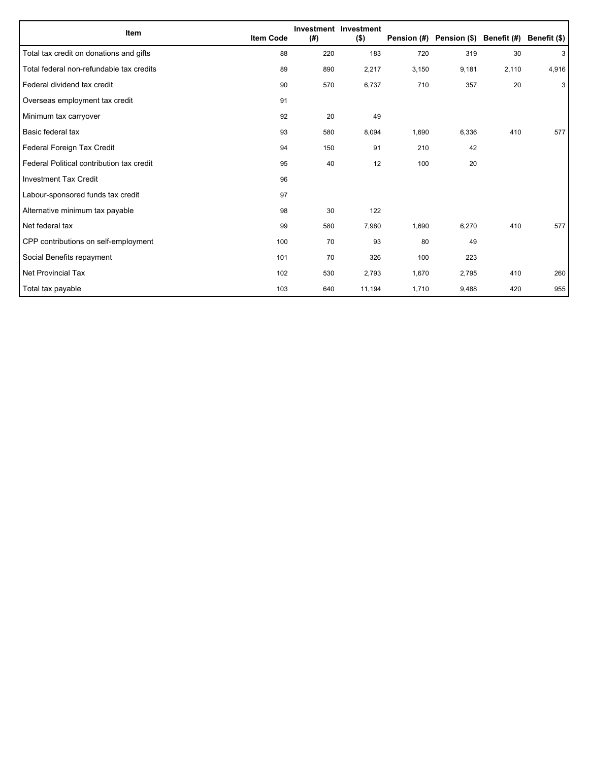| Item                                      | <b>Item Code</b> | (#) | Investment Investment<br>$($ \$) |       | Pension (#) Pension (\$) Benefit (#) |       | Benefit (\$) |
|-------------------------------------------|------------------|-----|----------------------------------|-------|--------------------------------------|-------|--------------|
| Total tax credit on donations and gifts   | 88               | 220 | 183                              | 720   | 319                                  | 30    | 3            |
| Total federal non-refundable tax credits  | 89               | 890 | 2,217                            | 3,150 | 9,181                                | 2,110 | 4,916        |
| Federal dividend tax credit               | 90               | 570 | 6,737                            | 710   | 357                                  | 20    | 3            |
| Overseas employment tax credit            | 91               |     |                                  |       |                                      |       |              |
| Minimum tax carryover                     | 92               | 20  | 49                               |       |                                      |       |              |
| Basic federal tax                         | 93               | 580 | 8,094                            | 1,690 | 6,336                                | 410   | 577          |
| Federal Foreign Tax Credit                | 94               | 150 | 91                               | 210   | 42                                   |       |              |
| Federal Political contribution tax credit | 95               | 40  | 12                               | 100   | 20                                   |       |              |
| <b>Investment Tax Credit</b>              | 96               |     |                                  |       |                                      |       |              |
| Labour-sponsored funds tax credit         | 97               |     |                                  |       |                                      |       |              |
| Alternative minimum tax payable           | 98               | 30  | 122                              |       |                                      |       |              |
| Net federal tax                           | 99               | 580 | 7,980                            | 1,690 | 6,270                                | 410   | 577          |
| CPP contributions on self-employment      | 100              | 70  | 93                               | 80    | 49                                   |       |              |
| Social Benefits repayment                 | 101              | 70  | 326                              | 100   | 223                                  |       |              |
| <b>Net Provincial Tax</b>                 | 102              | 530 | 2,793                            | 1,670 | 2,795                                | 410   | 260          |
| Total tax payable                         | 103              | 640 | 11,194                           | 1,710 | 9,488                                | 420   | 955          |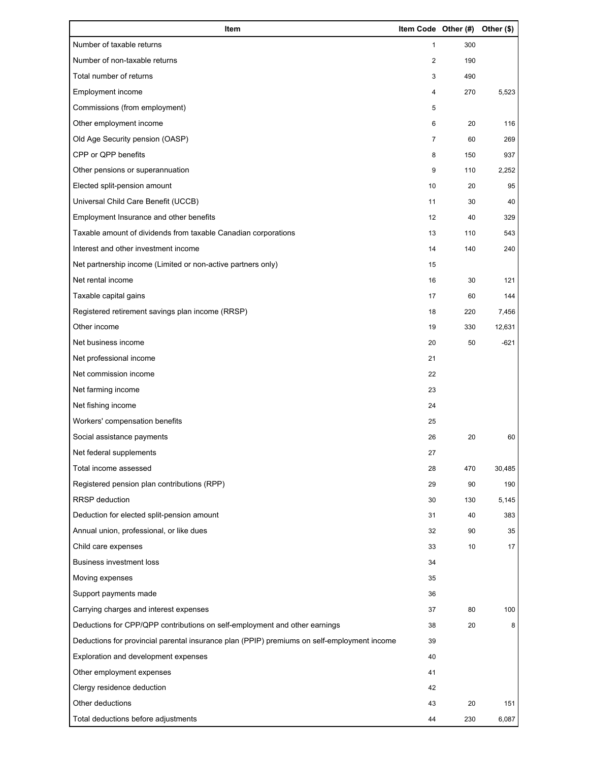| Item                                                                                        | Item Code Other (#) |     | Other (\$) |
|---------------------------------------------------------------------------------------------|---------------------|-----|------------|
| Number of taxable returns                                                                   | $\mathbf{1}$        | 300 |            |
| Number of non-taxable returns                                                               | 2                   | 190 |            |
| Total number of returns                                                                     | 3                   | 490 |            |
| Employment income                                                                           | 4                   | 270 | 5,523      |
| Commissions (from employment)                                                               | 5                   |     |            |
| Other employment income                                                                     | 6                   | 20  | 116        |
| Old Age Security pension (OASP)                                                             | $\overline{7}$      | 60  | 269        |
| CPP or QPP benefits                                                                         | 8                   | 150 | 937        |
| Other pensions or superannuation                                                            | 9                   | 110 | 2,252      |
| Elected split-pension amount                                                                | 10                  | 20  | 95         |
| Universal Child Care Benefit (UCCB)                                                         | 11                  | 30  | 40         |
| Employment Insurance and other benefits                                                     | 12                  | 40  | 329        |
| Taxable amount of dividends from taxable Canadian corporations                              | 13                  | 110 | 543        |
| Interest and other investment income                                                        | 14                  | 140 | 240        |
| Net partnership income (Limited or non-active partners only)                                | 15                  |     |            |
| Net rental income                                                                           | 16                  | 30  | 121        |
| Taxable capital gains                                                                       | 17                  | 60  | 144        |
| Registered retirement savings plan income (RRSP)                                            | 18                  | 220 | 7,456      |
| Other income                                                                                | 19                  | 330 | 12,631     |
| Net business income                                                                         | 20                  | 50  | $-621$     |
| Net professional income                                                                     | 21                  |     |            |
| Net commission income                                                                       | 22                  |     |            |
| Net farming income                                                                          | 23                  |     |            |
| Net fishing income                                                                          | 24                  |     |            |
| Workers' compensation benefits                                                              | 25                  |     |            |
| Social assistance payments                                                                  | 26                  | 20  | 60         |
| Net federal supplements                                                                     | 27                  |     |            |
| Total income assessed                                                                       | 28                  | 470 | 30,485     |
| Registered pension plan contributions (RPP)                                                 | 29                  | 90  | 190        |
| RRSP deduction                                                                              | 30                  | 130 | 5,145      |
| Deduction for elected split-pension amount                                                  | 31                  | 40  | 383        |
| Annual union, professional, or like dues                                                    | 32                  | 90  | 35         |
| Child care expenses                                                                         | 33                  | 10  | 17         |
| <b>Business investment loss</b>                                                             | 34                  |     |            |
| Moving expenses                                                                             | 35                  |     |            |
| Support payments made                                                                       | 36                  |     |            |
| Carrying charges and interest expenses                                                      | 37                  | 80  | 100        |
| Deductions for CPP/QPP contributions on self-employment and other earnings                  | 38                  | 20  | 8          |
| Deductions for provincial parental insurance plan (PPIP) premiums on self-employment income | 39                  |     |            |
| Exploration and development expenses                                                        | 40                  |     |            |
| Other employment expenses                                                                   | 41                  |     |            |
| Clergy residence deduction                                                                  | 42                  |     |            |
| Other deductions                                                                            | 43                  | 20  | 151        |
| Total deductions before adjustments                                                         | 44                  | 230 | 6,087      |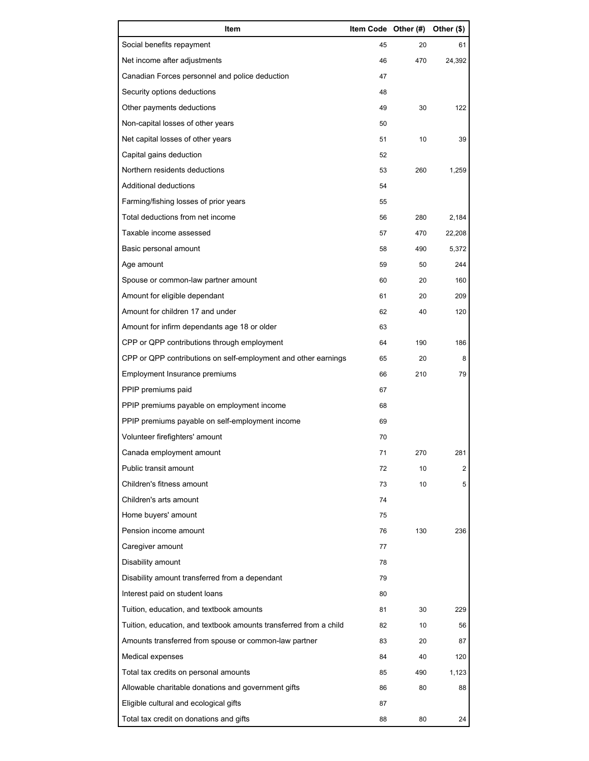| Item                                                              | Item Code Other (#) |     | Other (\$)     |
|-------------------------------------------------------------------|---------------------|-----|----------------|
| Social benefits repayment                                         | 45                  | 20  | 61             |
| Net income after adjustments                                      | 46                  | 470 | 24,392         |
| Canadian Forces personnel and police deduction                    | 47                  |     |                |
| Security options deductions                                       | 48                  |     |                |
| Other payments deductions                                         | 49                  | 30  | 122            |
| Non-capital losses of other years                                 | 50                  |     |                |
| Net capital losses of other years                                 | 51                  | 10  | 39             |
| Capital gains deduction                                           | 52                  |     |                |
| Northern residents deductions                                     | 53                  | 260 | 1,259          |
| Additional deductions                                             | 54                  |     |                |
| Farming/fishing losses of prior years                             | 55                  |     |                |
| Total deductions from net income                                  | 56                  | 280 | 2,184          |
| Taxable income assessed                                           | 57                  | 470 | 22,208         |
| Basic personal amount                                             | 58                  | 490 | 5,372          |
| Age amount                                                        | 59                  | 50  | 244            |
| Spouse or common-law partner amount                               | 60                  | 20  | 160            |
| Amount for eligible dependant                                     | 61                  | 20  | 209            |
| Amount for children 17 and under                                  | 62                  | 40  | 120            |
| Amount for infirm dependants age 18 or older                      | 63                  |     |                |
| CPP or QPP contributions through employment                       | 64                  | 190 | 186            |
| CPP or QPP contributions on self-employment and other earnings    | 65                  | 20  | 8              |
| Employment Insurance premiums                                     | 66                  | 210 | 79             |
| PPIP premiums paid                                                | 67                  |     |                |
| PPIP premiums payable on employment income                        | 68                  |     |                |
| PPIP premiums payable on self-employment income                   | 69                  |     |                |
| Volunteer firefighters' amount                                    | 70                  |     |                |
| Canada employment amount                                          | 71                  | 270 | 281            |
| Public transit amount                                             | 72                  | 10  | $\overline{2}$ |
| Children's fitness amount                                         | 73                  | 10  | 5              |
| Children's arts amount                                            | 74                  |     |                |
| Home buyers' amount                                               | 75                  |     |                |
| Pension income amount                                             | 76                  | 130 | 236            |
| Caregiver amount                                                  | 77                  |     |                |
| Disability amount                                                 | 78                  |     |                |
| Disability amount transferred from a dependant                    | 79                  |     |                |
| Interest paid on student loans                                    | 80                  |     |                |
| Tuition, education, and textbook amounts                          | 81                  | 30  | 229            |
| Tuition, education, and textbook amounts transferred from a child | 82                  | 10  | 56             |
| Amounts transferred from spouse or common-law partner             | 83                  | 20  | 87             |
| Medical expenses                                                  | 84                  | 40  | 120            |
| Total tax credits on personal amounts                             | 85                  | 490 | 1,123          |
| Allowable charitable donations and government gifts               | 86                  | 80  | 88             |
| Eligible cultural and ecological gifts                            | 87                  |     |                |
| Total tax credit on donations and gifts                           | 88                  | 80  | 24             |